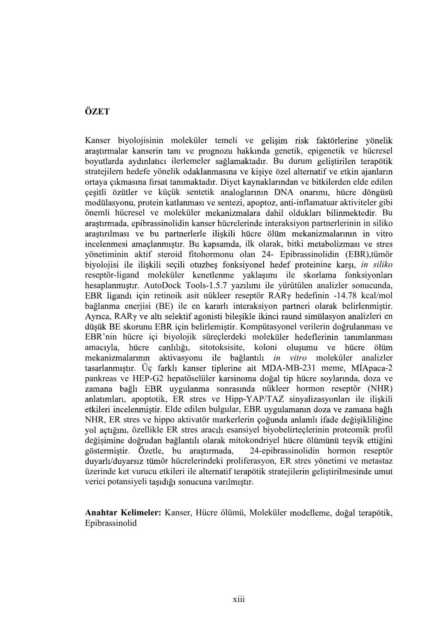## **ÖZET**

ÖZET<br>
Kanser biyolojisinin moleküler temeli ve gelişim risk faktörlerine yönelik<br>
Kanser<br>
Kanserin kanserin tanı ve prognozu hakkında genetik, epigenetik ve hücresel<br>
boyutlarda aydımlatıcı ilerlemeler sağlamaktadır. Bu du **ÖZET**<br>Kanser biyolojisinin moleküler teneli ve gelişim risk faktörlerine yönelik araştırmalar kanserin tanı ve prognozu hakkında genetik, epigenetik ve hücresel<br>boyullarda aydınlatıcı ilerlemeler sağlamaktadır. Bu durum g isinin moleküler temeli ve gelişim risk faktörlerine yönelik anaserin tanı ve prognozu hakkında genetik, epigenetik ve hücresel<br>dimlattei lierlemeler sağlamaktadır. Bu durum gelişirilen terapötik<br>defe yönelik odaklanmasına igisinin moleküler temeli ve gelişim risk faktörlerine yönelik anaserin tanı ve prognozu hakkında genetik, epigenetik ve hücresel<br>dinlatici ilerlemeler sağlamaktadır. Bu durum geliştirilen terapötik<br>ma firsa tanımaktadır. in moleküler temeli ve gelişim risk faktörlerine yönelik<br>
in tanı ve prognozu hakkında genetik, epigenetik ve hücresel<br>
tıcı ilerlemeler sağlamaktadır. Bu durum geliştirilen terapötik<br>
vönelik odaklanmasına ve kişiye özel biyolojisinin moleküler temeli ve gelişim risk faktörlerine yönelik alar kanserin tanı ve prognozu hakkında genetik, epigenetik ve hücresel da aydınlatıcı ilerlemeler sağlamaktadır. Bu durum geliştirilen terapötik olaylan Kanser biyolojisinin moleküler temeli ve gelişim risk faktörlerine yönelik Enaster von Standard van The Standard van The Standard van The Theories are applied to the standard a and the standard a sylinity of bread boyularda aydınlatısı istandari Standari Denvin geliştirilen terapötik ordustanın o arastırmalar kanserin tanı ve prognozu hakkında genetik, epigenetik ve hücresel boyutlarda aydınlatıcı ilerlemeler sağlamaktadır. Bu durum geliştirilen terapötik Evaluari gunyarında veripyonu<br>özel alternatif ve etkin ajanların<br>arından ve bitkilerden elde edilen<br>DNA onarımı, hücre döngüsü<br>z, anti-inflamatuar aktiviteler gibi<br>z, anti-inflamatuar aktiviteler gibi<br>hil oldukları bilinme stratejilern hedefe yönelik odaklanmasına ve kişiye özel alternatif ve etkin ajanların etare vondusmanna in en vanyt och undusmanna in en van sinsat tammaktadn. Diyet kaynaklarından ve bitkilerden elde edilen<br>
inn firsat tammaktadn. Diyet kaynaklarından ve bitkilerden elde edilen<br>
inn firsat tammaktadn. Diy ortaya çıkmasına fırsat tanımaktadır. Diyet kaynaklarından ve bitkilerden elde edilen presili öztüler ve kitelik sentetik analoglarının DNA onarımı, hücre döngüsti<br>paçili öztüler ve kitelik sentetik analoglarının DNA onarımı, hücre döngüsti<br>modülasyonu, protein katlanması ve sentezi, apoptoz, anti-inflamatu çeşitli özütler ve küçük sentetik analoglarının DNA onarımı, hücre döngüsü modülasyonu, protein katlanması ve sentezi, apoptoz, anti-inflamatuar aktiviteler gibi arastırmada, epibrassinolidin kanser hücrelerinde interaksiyon partnerlerinin in siliko incelenmesi amaçlanmıştır. Bu kapsamda, ilk olarak, bitki metabolizması ve stres biyolojisi ile ilişkili seçili otuzbeş fonksiyonel hedef proteinine karşı, in siliko reseptör-ligand moleküler kenetlenme vaklasımı ile skorlama fonksivonları düşük BE skorunu EBR için belirlemiştir. Kompütasyonel verilerin doğrulanması ve amacıyla, hücre canlılığı, sitotoksisite, koloni oluşumu ve hücre zamana bağlı EBR uygulanma sonrasında nükleer hormon reseptör (NHR) anlatımları, apoptotik, ER stres ve Hipp-YAP/TAZ sinvalizasyonları ile iliskili etkileri incelenmiştir. Elde edilen bulgular, EBR uygulamanın doza ve zamana bağlı NHR, ER stres ve hippo aktivatör markerlerin çoğunda anlamlı ifade değişikliliğine yol açtığını, özellikle ER stres aracılı esansiyel biyobelirteçlerinin proteomik profil değisimine doğrudan bağlantılı olarak mitokondriyel hücre ölümünü tesvik ettiğini göstermiştir. Özetle, bu araştırmada, 24-epibrassinolidin hormon reseptör duyarlı/duyarsız tümör hücrelerindeki proliferasyon, ER stres yönetimi ve metastaz üzerinde ket vurucu etkileri ile verici potansiyeli tasıdığı sonucuna varılmıştır.

Anahtar Kelimeler: Kanser, Hücre ölümü, Moleküler modelleme, doğal terapötik, Epibrassinolid